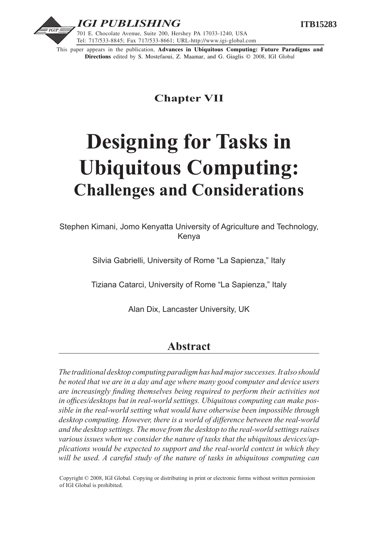

This paper appears in the publication, **Advances in Ubiquitous Computing: Future Paradigms and Directions** edited by S. Mostefaoui, Z. Maamar, and G. Giaglis © 2008, IGI Global

# **Chapter VII**

# **Designing for Tasks in Ubiquitous Computing: Challenges and Considerations**

Stephen Kimani, Jomo Kenyatta University of Agriculture and Technology, Kenya

Silvia Gabrielli, University of Rome "La Sapienza," Italy

Tiziana Catarci, University of Rome "La Sapienza," Italy

Alan Dix, Lancaster University, UK

# **Abstract**

*The traditional desktop computing paradigm has had major successes. It also should be noted that we are in a day and age where many good computer and device users are increasingly finding themselves being required to perform their activities not in offices/desktops but in real-world settings. Ubiquitous computing can make possible in the real-world setting what would have otherwise been impossible through desktop computing. However, there is a world of difference between the real-world and the desktop settings. The move from the desktop to the real-world settings raises various issues when we consider the nature of tasks that the ubiquitous devices/applications would be expected to support and the real-world context in which they will be used. A careful study of the nature of tasks in ubiquitous computing can* 

Copyright © 2008, IGI Global. Copying or distributing in print or electronic forms without written permission of IGI Global is prohibited.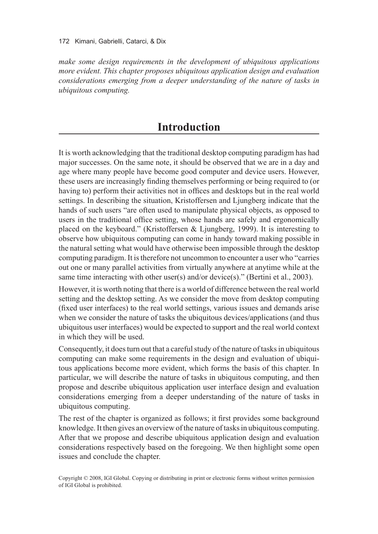*make some design requirements in the development of ubiquitous applications more evident. This chapter proposes ubiquitous application design and evaluation considerations emerging from a deeper understanding of the nature of tasks in ubiquitous computing.*

# **Introduction**

It is worth acknowledging that the traditional desktop computing paradigm has had major successes. On the same note, it should be observed that we are in a day and age where many people have become good computer and device users. However, these users are increasingly finding themselves performing or being required to (or having to) perform their activities not in offices and desktops but in the real world settings. In describing the situation, Kristoffersen and Ljungberg indicate that the hands of such users "are often used to manipulate physical objects, as opposed to users in the traditional office setting, whose hands are safely and ergonomically placed on the keyboard." (Kristoffersen & Ljungberg, 1999). It is interesting to observe how ubiquitous computing can come in handy toward making possible in the natural setting what would have otherwise been impossible through the desktop computing paradigm. It is therefore not uncommon to encounter a user who "carries out one or many parallel activities from virtually anywhere at anytime while at the same time interacting with other user(s) and/or device(s)." (Bertini et al., 2003).

However, it is worth noting that there is a world of difference between the real world setting and the desktop setting. As we consider the move from desktop computing (fixed user interfaces) to the real world settings, various issues and demands arise when we consider the nature of tasks the ubiquitous devices/applications (and thus ubiquitous user interfaces) would be expected to support and the real world context in which they will be used.

Consequently, it does turn out that a careful study of the nature of tasks in ubiquitous computing can make some requirements in the design and evaluation of ubiquitous applications become more evident, which forms the basis of this chapter. In particular, we will describe the nature of tasks in ubiquitous computing, and then propose and describe ubiquitous application user interface design and evaluation considerations emerging from a deeper understanding of the nature of tasks in ubiquitous computing.

The rest of the chapter is organized as follows; it first provides some background knowledge. It then gives an overview of the nature of tasks in ubiquitous computing. After that we propose and describe ubiquitous application design and evaluation considerations respectively based on the foregoing. We then highlight some open issues and conclude the chapter.

Copyright © 2008, IGI Global. Copying or distributing in print or electronic forms without written permission of IGI Global is prohibited.